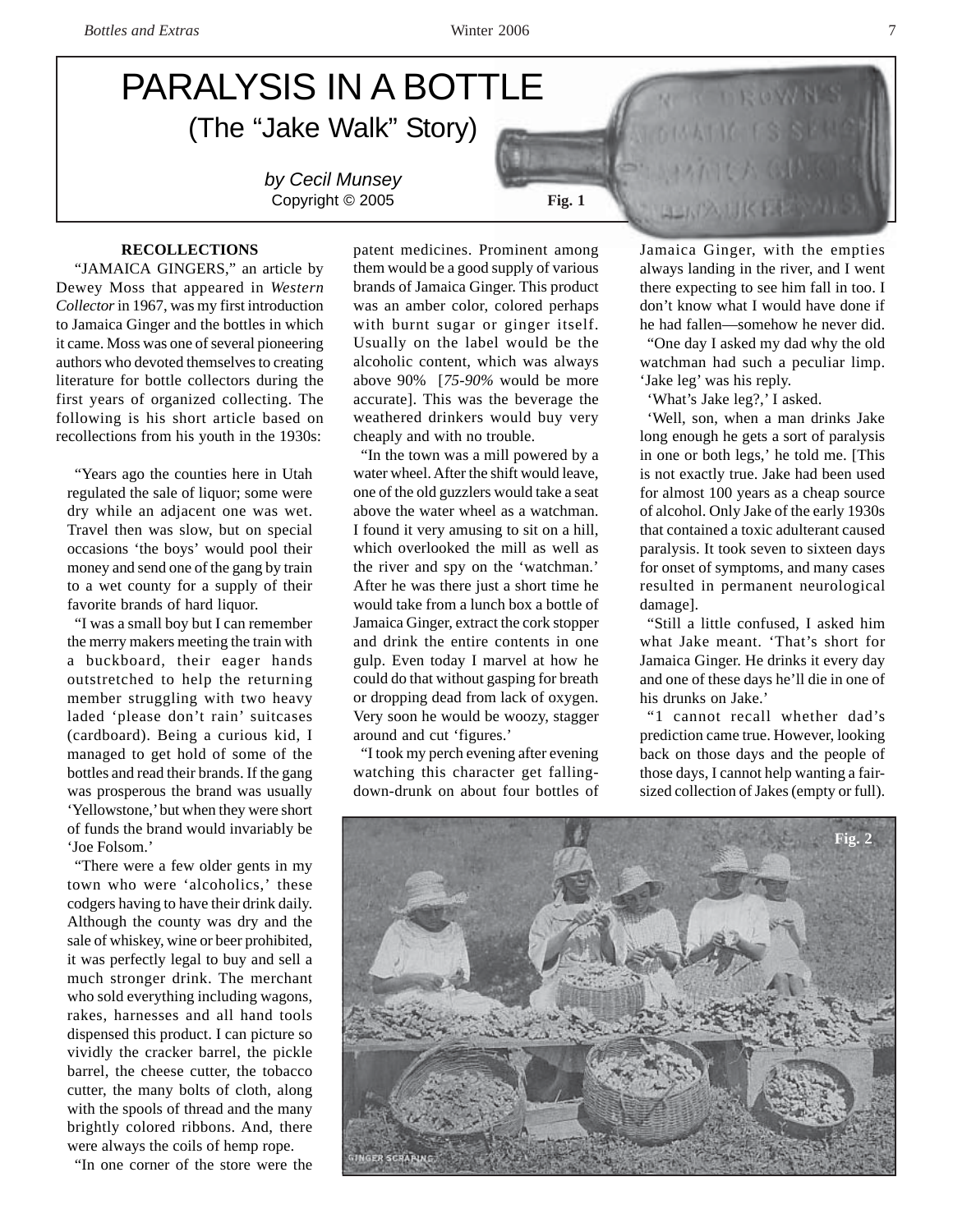# PARALYSIS IN A BOTTLE (The "Jake Walk" Story)

*by Cecil Munsey* Copyright © 2005 **Fig. 1** 

# **RECOLLECTIONS**

"JAMAICA GINGERS," an article by Dewey Moss that appeared in *Western Collector* in 1967, was my first introduction to Jamaica Ginger and the bottles in which it came. Moss was one of several pioneering authors who devoted themselves to creating literature for bottle collectors during the first years of organized collecting. The following is his short article based on recollections from his youth in the 1930s:

"Years ago the counties here in Utah regulated the sale of liquor; some were dry while an adjacent one was wet. Travel then was slow, but on special occasions 'the boys' would pool their money and send one of the gang by train to a wet county for a supply of their favorite brands of hard liquor.

"I was a small boy but I can remember the merry makers meeting the train with a buckboard, their eager hands outstretched to help the returning member struggling with two heavy laded 'please don't rain' suitcases (cardboard). Being a curious kid, I managed to get hold of some of the bottles and read their brands. If the gang was prosperous the brand was usually 'Yellowstone,' but when they were short of funds the brand would invariably be 'Joe Folsom.'

"There were a few older gents in my town who were 'alcoholics,' these codgers having to have their drink daily. Although the county was dry and the sale of whiskey, wine or beer prohibited, it was perfectly legal to buy and sell a much stronger drink. The merchant who sold everything including wagons, rakes, harnesses and all hand tools dispensed this product. I can picture so vividly the cracker barrel, the pickle barrel, the cheese cutter, the tobacco cutter, the many bolts of cloth, along with the spools of thread and the many brightly colored ribbons. And, there were always the coils of hemp rope.

"In one corner of the store were the

patent medicines. Prominent among them would be a good supply of various brands of Jamaica Ginger. This product was an amber color, colored perhaps with burnt sugar or ginger itself. Usually on the label would be the alcoholic content, which was always above 90% [*75-90%* would be more accurate]. This was the beverage the weathered drinkers would buy very cheaply and with no trouble.

"In the town was a mill powered by a water wheel. After the shift would leave, one of the old guzzlers would take a seat above the water wheel as a watchman. I found it very amusing to sit on a hill, which overlooked the mill as well as the river and spy on the 'watchman.' After he was there just a short time he would take from a lunch box a bottle of Jamaica Ginger, extract the cork stopper and drink the entire contents in one gulp. Even today I marvel at how he could do that without gasping for breath or dropping dead from lack of oxygen. Very soon he would be woozy, stagger around and cut 'figures.'

"I took my perch evening after evening watching this character get fallingdown-drunk on about four bottles of Jamaica Ginger, with the empties always landing in the river, and I went there expecting to see him fall in too. I don't know what I would have done if he had fallen—somehow he never did.

"One day I asked my dad why the old watchman had such a peculiar limp. 'Jake leg' was his reply.

'What's Jake leg?,' I asked.

**ALITA UK PART** 

'Well, son, when a man drinks Jake long enough he gets a sort of paralysis in one or both legs,' he told me. [This is not exactly true. Jake had been used for almost 100 years as a cheap source of alcohol. Only Jake of the early 1930s that contained a toxic adulterant caused paralysis. It took seven to sixteen days for onset of symptoms, and many cases resulted in permanent neurological damage].

"Still a little confused, I asked him what Jake meant. 'That's short for Jamaica Ginger. He drinks it every day and one of these days he'll die in one of his drunks on Jake.'

"1 cannot recall whether dad's prediction came true. However, looking back on those days and the people of those days, I cannot help wanting a fairsized collection of Jakes (empty or full).

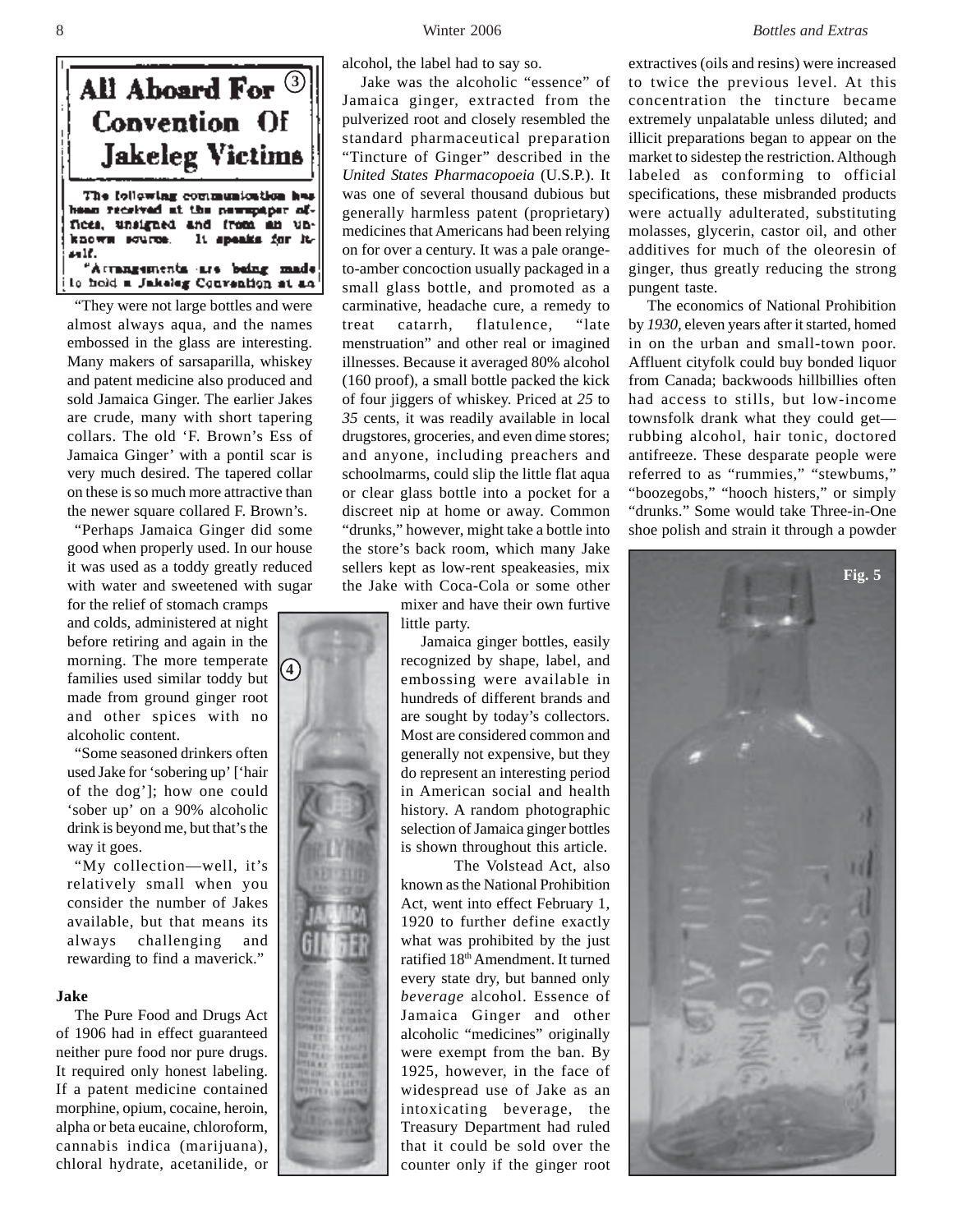

"They were not large bottles and were almost always aqua, and the names embossed in the glass are interesting. Many makers of sarsaparilla, whiskey and patent medicine also produced and sold Jamaica Ginger. The earlier Jakes are crude, many with short tapering collars. The old 'F. Brown's Ess of Jamaica Ginger' with a pontil scar is very much desired. The tapered collar on these is so much more attractive than the newer square collared F. Brown's.

"Perhaps Jamaica Ginger did some good when properly used. In our house it was used as a toddy greatly reduced with water and sweetened with sugar

for the relief of stomach cramps and colds, administered at night before retiring and again in the morning. The more temperate families used similar toddy but made from ground ginger root and other spices with no alcoholic content.

**4**

"Some seasoned drinkers often used Jake for 'sobering up' ['hair of the dog']; how one could 'sober up' on a 90% alcoholic drink is beyond me, but that's the way it goes.

"My collection—well, it's relatively small when you consider the number of Jakes available, but that means its always challenging and rewarding to find a maverick."

## **Jake**

The Pure Food and Drugs Act of 1906 had in effect guaranteed neither pure food nor pure drugs. It required only honest labeling. If a patent medicine contained morphine, opium, cocaine, heroin, alpha or beta eucaine, chloroform, cannabis indica (marijuana), chloral hydrate, acetanilide, or

alcohol, the label had to say so.

Jake was the alcoholic "essence" of Jamaica ginger, extracted from the pulverized root and closely resembled the standard pharmaceutical preparation "Tincture of Ginger" described in the *United States Pharmacopoeia* (U.S.P.). It was one of several thousand dubious but generally harmless patent (proprietary) medicines that Americans had been relying on for over a century. It was a pale orangeto-amber concoction usually packaged in a small glass bottle, and promoted as a carminative, headache cure, a remedy to treat catarrh, flatulence, "late menstruation" and other real or imagined illnesses. Because it averaged 80% alcohol (160 proof), a small bottle packed the kick of four jiggers of whiskey. Priced at *25* to *35* cents, it was readily available in local drugstores, groceries, and even dime stores; and anyone, including preachers and schoolmarms, could slip the little flat aqua or clear glass bottle into a pocket for a discreet nip at home or away. Common "drunks," however, might take a bottle into the store's back room, which many Jake sellers kept as low-rent speakeasies, mix the Jake with Coca-Cola or some other

mixer and have their own furtive little party.

 Jamaica ginger bottles, easily recognized by shape, label, and embossing were available in hundreds of different brands and are sought by today's collectors. Most are considered common and generally not expensive, but they do represent an interesting period in American social and health history. A random photographic selection of Jamaica ginger bottles is shown throughout this article.

The Volstead Act, also known as the National Prohibition Act, went into effect February 1, 1920 to further define exactly what was prohibited by the just ratified 18<sup>th</sup> Amendment. It turned every state dry, but banned only *beverage* alcohol. Essence of Jamaica Ginger and other alcoholic "medicines" originally were exempt from the ban. By 1925, however, in the face of widespread use of Jake as an intoxicating beverage, the Treasury Department had ruled that it could be sold over the counter only if the ginger root

extractives (oils and resins) were increased to twice the previous level. At this concentration the tincture became extremely unpalatable unless diluted; and illicit preparations began to appear on the market to sidestep the restriction. Although labeled as conforming to official specifications, these misbranded products were actually adulterated, substituting molasses, glycerin, castor oil, and other additives for much of the oleoresin of ginger, thus greatly reducing the strong pungent taste.

The economics of National Prohibition by *1930,* eleven years after it started, homed in on the urban and small-town poor. Affluent cityfolk could buy bonded liquor from Canada; backwoods hillbillies often had access to stills, but low-income townsfolk drank what they could get rubbing alcohol, hair tonic, doctored antifreeze. These desparate people were referred to as "rummies," "stewbums," "boozegobs," "hooch histers," or simply "drunks." Some would take Three-in-One shoe polish and strain it through a powder

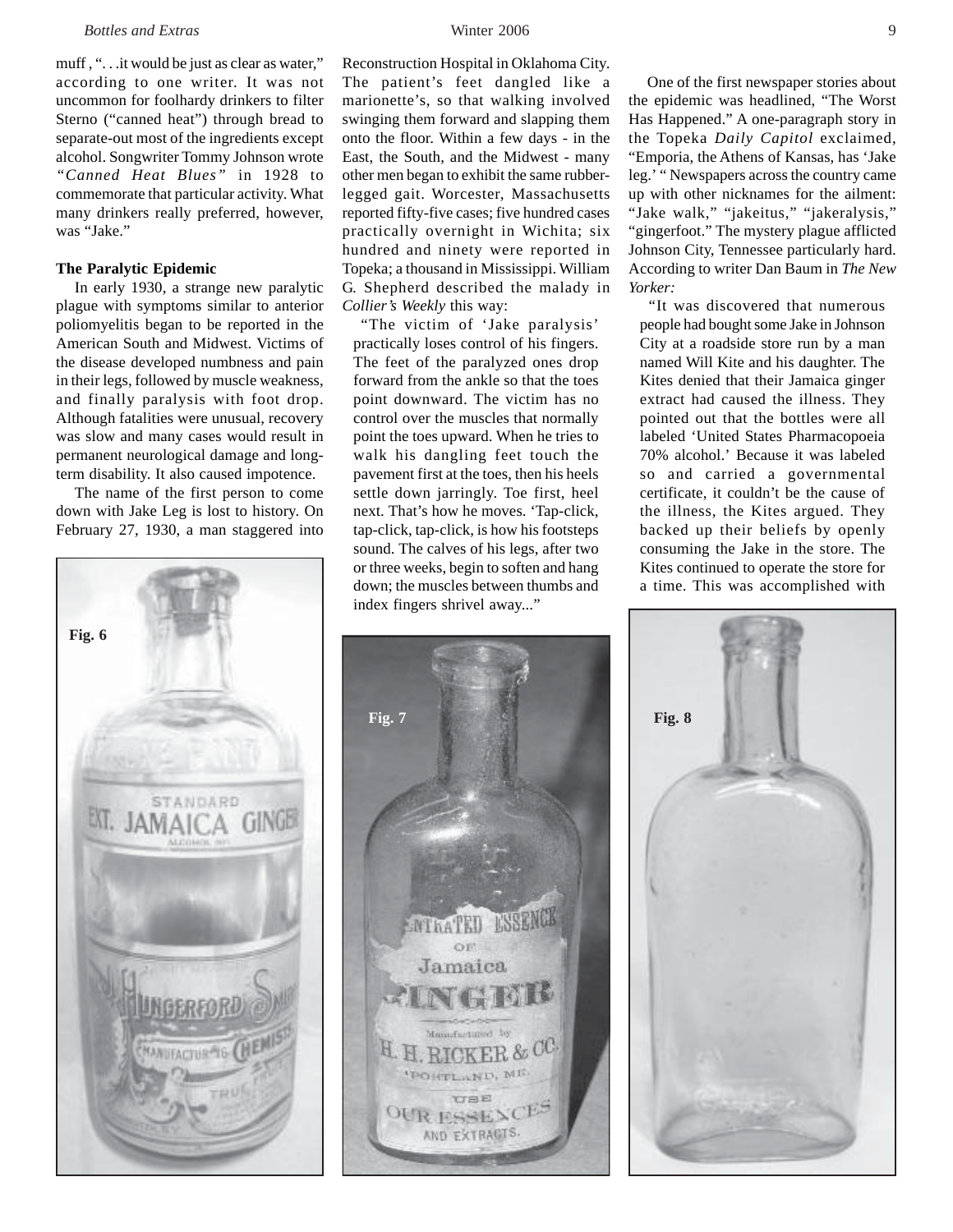muff, "... it would be just as clear as water," according to one writer. It was not uncommon for foolhardy drinkers to filter Sterno ("canned heat") through bread to separate-out most of the ingredients except alcohol. Songwriter Tommy Johnson wrote *"Canned Heat Blues"* in 1928 to commemorate that particular activity. What many drinkers really preferred, however, was "Jake."

# **The Paralytic Epidemic**

In early 1930, a strange new paralytic plague with symptoms similar to anterior poliomyelitis began to be reported in the American South and Midwest. Victims of the disease developed numbness and pain in their legs, followed by muscle weakness, and finally paralysis with foot drop. Although fatalities were unusual, recovery was slow and many cases would result in permanent neurological damage and longterm disability. It also caused impotence.

The name of the first person to come down with Jake Leg is lost to history. On February 27, 1930, a man staggered into



Reconstruction Hospital in Oklahoma City. The patient's feet dangled like a marionette's, so that walking involved swinging them forward and slapping them onto the floor. Within a few days - in the East, the South, and the Midwest - many other men began to exhibit the same rubberlegged gait. Worcester, Massachusetts reported fifty-five cases; five hundred cases practically overnight in Wichita; six hundred and ninety were reported in Topeka; a thousand in Mississippi. William G. Shepherd described the malady in *Collier's Weekly* this way:

"The victim of 'Jake paralysis' practically loses control of his fingers. The feet of the paralyzed ones drop forward from the ankle so that the toes point downward. The victim has no control over the muscles that normally point the toes upward. When he tries to walk his dangling feet touch the pavement first at the toes, then his heels settle down jarringly. Toe first, heel next. That's how he moves. 'Tap-click, tap-click, tap-click, is how his footsteps sound. The calves of his legs, after two or three weeks, begin to soften and hang down; the muscles between thumbs and index fingers shrivel away..."



One of the first newspaper stories about the epidemic was headlined, "The Worst Has Happened." A one-paragraph story in the Topeka *Daily Capitol* exclaimed, "Emporia, the Athens of Kansas, has 'Jake leg.' " Newspapers across the country came up with other nicknames for the ailment: "Jake walk," "jakeitus," "jakeralysis," "gingerfoot." The mystery plague afflicted Johnson City, Tennessee particularly hard. According to writer Dan Baum in *The New Yorker:*

*"*It was discovered that numerous people had bought some Jake in Johnson City at a roadside store run by a man named Will Kite and his daughter. The Kites denied that their Jamaica ginger extract had caused the illness. They pointed out that the bottles were all labeled 'United States Pharmacopoeia 70% alcohol.' Because it was labeled so and carried a governmental certificate, it couldn't be the cause of the illness, the Kites argued. They backed up their beliefs by openly consuming the Jake in the store. The Kites continued to operate the store for a time. This was accomplished with

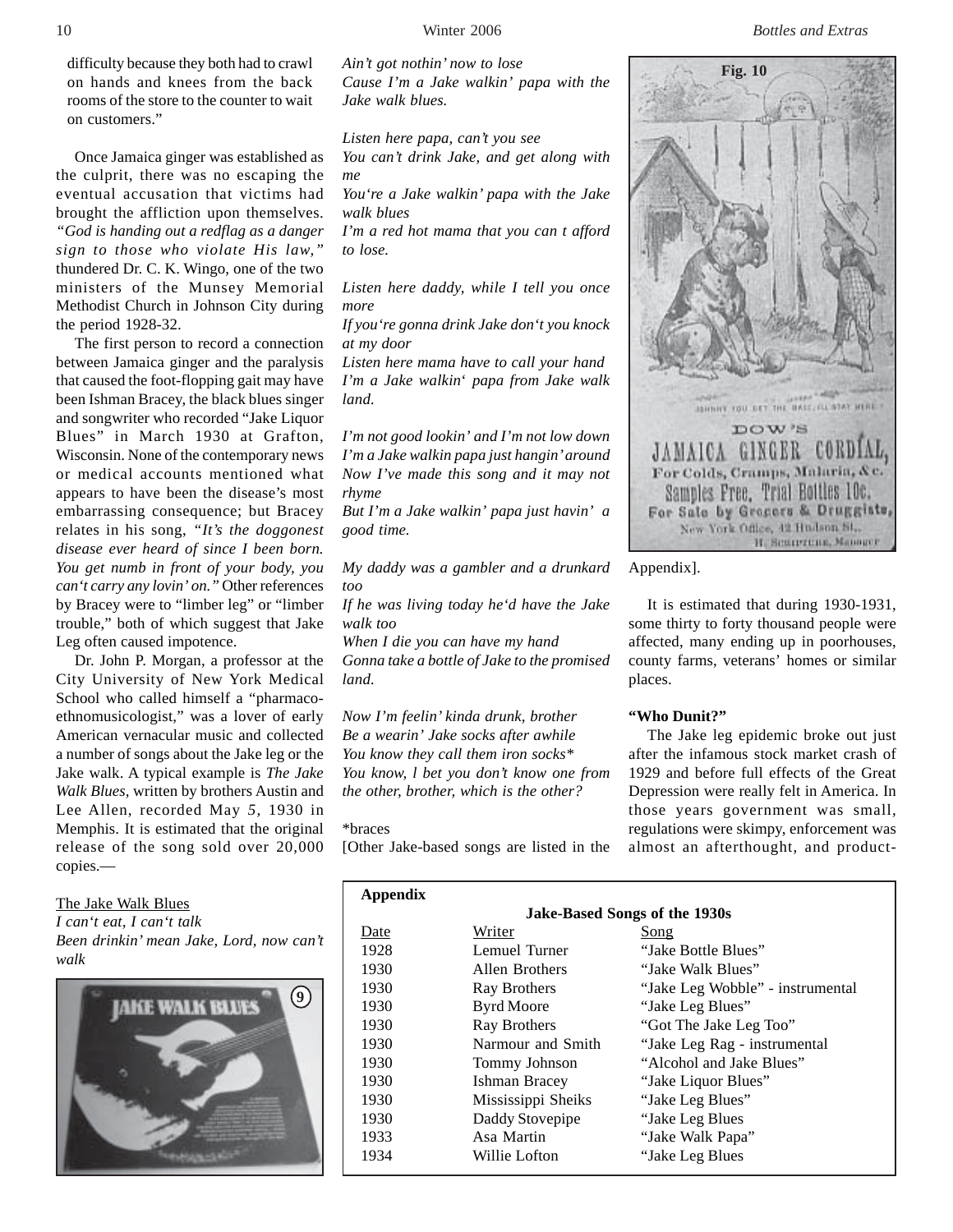10 Winter 2006 *Bottles and Extras*

difficulty because they both had to crawl on hands and knees from the back rooms of the store to the counter to wait on customers."

Once Jamaica ginger was established as the culprit, there was no escaping the eventual accusation that victims had brought the affliction upon themselves. *"God is handing out a redflag as a danger sign to those who violate His law,"* thundered Dr. C. K. Wingo, one of the two ministers of the Munsey Memorial Methodist Church in Johnson City during the period 1928-32.

The first person to record a connection between Jamaica ginger and the paralysis that caused the foot-flopping gait may have been Ishman Bracey, the black blues singer and songwriter who recorded "Jake Liquor Blues" in March 1930 at Grafton, Wisconsin. None of the contemporary news or medical accounts mentioned what appears to have been the disease's most embarrassing consequence; but Bracey relates in his song, *"It's the doggonest disease ever heard of since I been born. You get numb in front of your body, you can't carry any lovin' on."* Other references by Bracey were to "limber leg" or "limber trouble," both of which suggest that Jake Leg often caused impotence.

Dr. John P. Morgan, a professor at the City University of New York Medical School who called himself a "pharmacoethnomusicologist," was a lover of early American vernacular music and collected a number of songs about the Jake leg or the Jake walk. A typical example is *The Jake Walk Blues,* written by brothers Austin and Lee Allen, recorded May *5,* 1930 in Memphis. It is estimated that the original release of the song sold over 20,000 copies.—

The Jake Walk Blues

*I can't eat, I can't talk*

*Been drinkin' mean Jake, Lord, now can't walk*



*Ain't got nothin' now to lose Cause I'm a Jake walkin' papa with the Jake walk blues.*

*Listen here papa, can't you see You can't drink Jake, and get along with me*

*You're a Jake walkin' papa with the Jake walk blues*

*I'm a red hot mama that you can t afford to lose.*

*Listen here daddy, while I tell you once more*

*If you're gonna drink Jake don't you knock at my door*

*Listen here mama have to call your hand I'm a Jake walkin*' *papa from Jake walk land.*

*I'm not good lookin' and I'm not low down I'm a Jake walkin papa just hangin' around Now I've made this song and it may not rhyme*

*But I'm a Jake walkin' papa just havin' a good time.*

*My daddy was a gambler and a drunkard too*

*If he was living today he'd have the Jake walk too*

*When I die you can have my hand Gonna take a bottle of Jake to the promised land.*

*Now I'm feelin' kinda drunk, brother Be a wearin' Jake socks after awhile You know they call them iron socks\* You know, l bet you don't know one from the other, brother, which is the other?*

\*braces

[Other Jake-based songs are listed in the



Appendix].

It is estimated that during 1930-1931, some thirty to forty thousand people were affected, many ending up in poorhouses, county farms, veterans' homes or similar places.

# **"Who Dunit?"**

The Jake leg epidemic broke out just after the infamous stock market crash of 1929 and before full effects of the Great Depression were really felt in America. In those years government was small, regulations were skimpy, enforcement was almost an afterthought, and product-

| Appendix                      |                    |                                  |
|-------------------------------|--------------------|----------------------------------|
| Jake-Based Songs of the 1930s |                    |                                  |
| Date                          | Writer             | Song                             |
| 1928                          | Lemuel Turner      | "Jake Bottle Blues"              |
| 1930                          | Allen Brothers     | "Jake Walk Blues"                |
| 1930                          | Ray Brothers       | "Jake Leg Wobble" - instrumental |
| 1930                          | <b>Byrd Moore</b>  | "Jake Leg Blues"                 |
| 1930                          | Ray Brothers       | "Got The Jake Leg Too"           |
| 1930                          | Narmour and Smith  | "Jake Leg Rag - instrumental"    |
| 1930                          | Tommy Johnson      | "Alcohol and Jake Blues"         |
| 1930                          | Ishman Bracey      | "Jake Liquor Blues"              |
| 1930                          | Mississippi Sheiks | "Jake Leg Blues"                 |
| 1930                          | Daddy Stovepipe    | "Jake Leg Blues"                 |
| 1933                          | Asa Martin         | "Jake Walk Papa"                 |
| 1934                          | Willie Lofton      | "Jake Leg Blues"                 |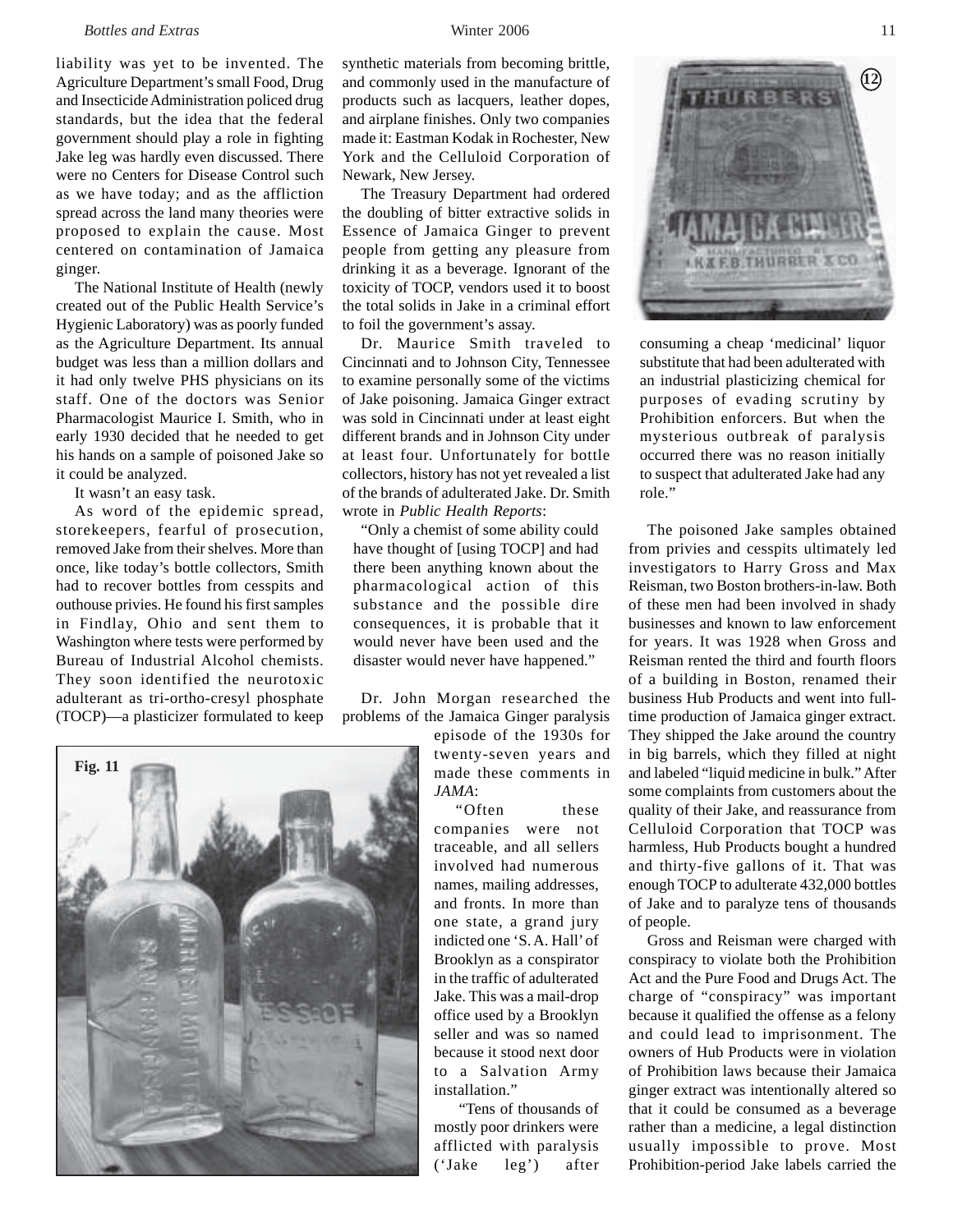### *Bottles and Extras* 11 **11 Winter 2006** 11

liability was yet to be invented. The Agriculture Department's small Food, Drug and Insecticide Administration policed drug standards, but the idea that the federal government should play a role in fighting Jake leg was hardly even discussed. There were no Centers for Disease Control such as we have today; and as the affliction spread across the land many theories were proposed to explain the cause. Most centered on contamination of Jamaica ginger.

The National Institute of Health (newly created out of the Public Health Service's Hygienic Laboratory) was as poorly funded as the Agriculture Department. Its annual budget was less than a million dollars and it had only twelve PHS physicians on its staff. One of the doctors was Senior Pharmacologist Maurice I. Smith, who in early 1930 decided that he needed to get his hands on a sample of poisoned Jake so it could be analyzed.

It wasn't an easy task.

As word of the epidemic spread, storekeepers, fearful of prosecution, removed Jake from their shelves. More than once, like today's bottle collectors, Smith had to recover bottles from cesspits and outhouse privies. He found his first samples in Findlay, Ohio and sent them to Washington where tests were performed by Bureau of Industrial Alcohol chemists. They soon identified the neurotoxic adulterant as tri-ortho-cresyl phosphate (TOCP)—a plasticizer formulated to keep

synthetic materials from becoming brittle, and commonly used in the manufacture of products such as lacquers, leather dopes, and airplane finishes. Only two companies made it: Eastman Kodak in Rochester, New York and the Celluloid Corporation of

Newark, New Jersey. The Treasury Department had ordered the doubling of bitter extractive solids in Essence of Jamaica Ginger to prevent people from getting any pleasure from drinking it as a beverage. Ignorant of the toxicity of TOCP, vendors used it to boost the total solids in Jake in a criminal effort to foil the government's assay.

Dr. Maurice Smith traveled to Cincinnati and to Johnson City, Tennessee to examine personally some of the victims of Jake poisoning. Jamaica Ginger extract was sold in Cincinnati under at least eight different brands and in Johnson City under at least four. Unfortunately for bottle collectors, history has not yet revealed a list of the brands of adulterated Jake. Dr. Smith wrote in *Public Health Reports*:

"Only a chemist of some ability could have thought of [using TOCP] and had there been anything known about the pharmacological action of this substance and the possible dire consequences, it is probable that it would never have been used and the disaster would never have happened."

Dr. John Morgan researched the problems of the Jamaica Ginger paralysis

> episode of the 1930s for twenty-seven years and made these comments in *JAMA*:

*"*Often these companies were not traceable, and all sellers involved had numerous names, mailing addresses, and fronts. In more than one state, a grand jury indicted one 'S. A. Hall' of Brooklyn as a conspirator in the traffic of adulterated Jake. This was a mail-drop office used by a Brooklyn seller and was so named because it stood next door to a Salvation Army installation."

 "Tens of thousands of mostly poor drinkers were afflicted with paralysis ('Jake leg') after

**FB THURRER &** consuming a cheap 'medicinal' liquor substitute that had been adulterated with an industrial plasticizing chemical for purposes of evading scrutiny by Prohibition enforcers. But when the mysterious outbreak of paralysis occurred there was no reason initially

to suspect that adulterated Jake had any

role."

The poisoned Jake samples obtained from privies and cesspits ultimately led investigators to Harry Gross and Max Reisman, two Boston brothers-in-law. Both of these men had been involved in shady businesses and known to law enforcement for years. It was 1928 when Gross and Reisman rented the third and fourth floors of a building in Boston, renamed their business Hub Products and went into fulltime production of Jamaica ginger extract. They shipped the Jake around the country in big barrels, which they filled at night and labeled "liquid medicine in bulk." After some complaints from customers about the quality of their Jake, and reassurance from Celluloid Corporation that TOCP was harmless, Hub Products bought a hundred and thirty-five gallons of it. That was enough TOCP to adulterate 432,000 bottles of Jake and to paralyze tens of thousands of people.

Gross and Reisman were charged with conspiracy to violate both the Prohibition Act and the Pure Food and Drugs Act. The charge of "conspiracy" was important because it qualified the offense as a felony and could lead to imprisonment. The owners of Hub Products were in violation of Prohibition laws because their Jamaica ginger extract was intentionally altered so that it could be consumed as a beverage rather than a medicine, a legal distinction usually impossible to prove. Most Prohibition-period Jake labels carried the